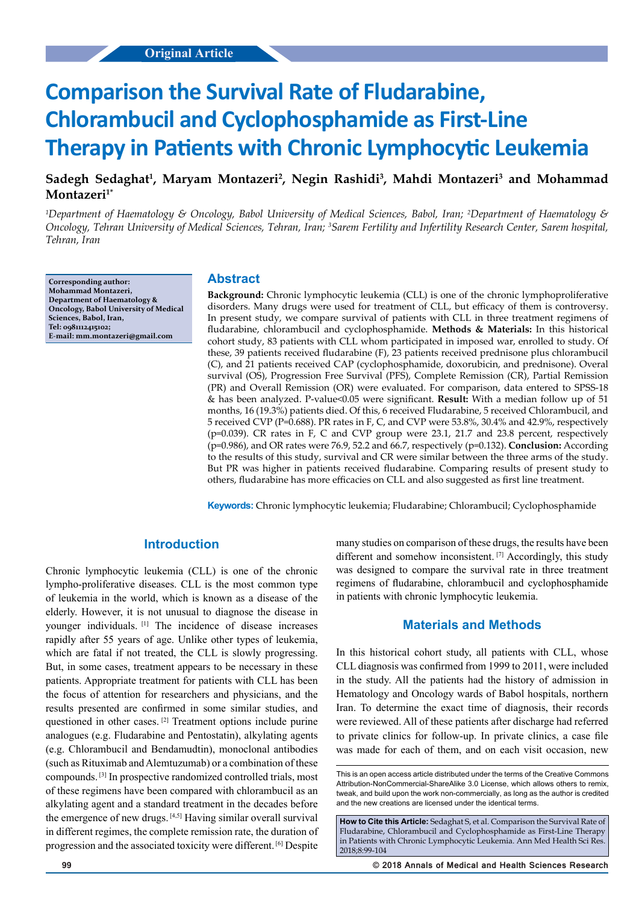# **Comparison the Survival Rate of Fludarabine, Chlorambucil and Cyclophosphamide as First-Line Therapy in Patients with Chronic Lymphocytic Leukemia**

# Sadegh Sedaghat<sup>1</sup>, Maryam Montazeri<sup>2</sup>, Negin Rashidi<sup>3</sup>, Mahdi Montazeri<sup>3</sup> and Mohammad **Montazeri1\***

*1 Department of Haematology & Oncology, Babol University of Medical Sciences, Babol, Iran; 2 Department of Haematology & Oncology, Tehran University of Medical Sciences, Tehran, Iran; 3 Sarem Fertility and Infertility Research Center, Sarem hospital, Tehran, Iran*

**Corresponding author: Mohammad Montazeri, Department of Haematology & Oncology, Babol University of Medical Sciences, Babol, Iran, [Tel: 0981112415102;](mailto:Tel: 0981112415102) E-mail: mm.montazeri@gmail.com**

# **Abstract**

**Background:** Chronic lymphocytic leukemia (CLL) is one of the chronic lymphoproliferative disorders. Many drugs were used for treatment of CLL, but efficacy of them is controversy. In present study, we compare survival of patients with CLL in three treatment regimens of fludarabine, chlorambucil and cyclophosphamide. **Methods & Materials:** In this historical cohort study, 83 patients with CLL whom participated in imposed war, enrolled to study. Of these, 39 patients received fludarabine (F), 23 patients received prednisone plus chlorambucil (C), and 21 patients received CAP (cyclophosphamide, doxorubicin, and prednisone). Overal survival (OS), Progression Free Survival (PFS), Complete Remission (CR), Partial Remission (PR) and Overall Remission (OR) were evaluated. For comparison, data entered to SPSS-18 & has been analyzed. P-value<0.05 were significant. **Result:** With a median follow up of 51 months, 16 (19.3%) patients died. Of this, 6 received Fludarabine, 5 received Chlorambucil, and 5 received CVP (P=0.688). PR rates in F, C, and CVP were 53.8%, 30.4% and 42.9%, respectively (p=0.039). CR rates in F, C and CVP group were 23.1, 21.7 and 23.8 percent, respectively (p=0.986), and OR rates were 76.9, 52.2 and 66.7, respectively (p=0.132). **Conclusion:** According to the results of this study, survival and CR were similar between the three arms of the study. But PR was higher in patients received fludarabine. Comparing results of present study to others, fludarabine has more efficacies on CLL and also suggested as first line treatment.

**Keywords:** Chronic lymphocytic leukemia; Fludarabine; Chlorambucil; Cyclophosphamide

## **Introduction**

Chronic lymphocytic leukemia (CLL) is one of the chronic lympho-proliferative diseases. CLL is the most common type of leukemia in the world, which is known as a disease of the elderly. However, it is not unusual to diagnose the disease in younger individuals. [1] The incidence of disease increases rapidly after 55 years of age. Unlike other types of leukemia, which are fatal if not treated, the CLL is slowly progressing. But, in some cases, treatment appears to be necessary in these patients. Appropriate treatment for patients with CLL has been the focus of attention for researchers and physicians, and the results presented are confirmed in some similar studies, and questioned in other cases. [2] Treatment options include purine analogues (e.g. Fludarabine and Pentostatin), alkylating agents (e.g. Chlorambucil and Bendamudtin), monoclonal antibodies (such as Rituximab and Alemtuzumab) or a combination of these compounds. [3] In prospective randomized controlled trials, most of these regimens have been compared with chlorambucil as an alkylating agent and a standard treatment in the decades before the emergence of new drugs. [4,5] Having similar overall survival in different regimes, the complete remission rate, the duration of progression and the associated toxicity were different. [6] Despite many studies on comparison of these drugs, the results have been different and somehow inconsistent. <sup>[7]</sup> Accordingly, this study was designed to compare the survival rate in three treatment regimens of fludarabine, chlorambucil and cyclophosphamide in patients with chronic lymphocytic leukemia.

## **Materials and Methods**

In this historical cohort study, all patients with CLL, whose CLL diagnosis was confirmed from 1999 to 2011, were included in the study. All the patients had the history of admission in Hematology and Oncology wards of Babol hospitals, northern Iran. To determine the exact time of diagnosis, their records were reviewed. All of these patients after discharge had referred to private clinics for follow-up. In private clinics, a case file was made for each of them, and on each visit occasion, new

This is an open access article distributed under the terms of the Creative Commons Attribution‑NonCommercial‑ShareAlike 3.0 License, which allows others to remix tweak, and build upon the work non‑commercially, as long as the author is credited and the new creations are licensed under the identical terms.

**How to Cite this Article:** Sedaghat S, et al. Comparison the Survival Rate of Fludarabine, Chlorambucil and Cyclophosphamide as First-Line Therapy in Patients with Chronic Lymphocytic Leukemia. Ann Med Health Sci Res. 2018;8:99-104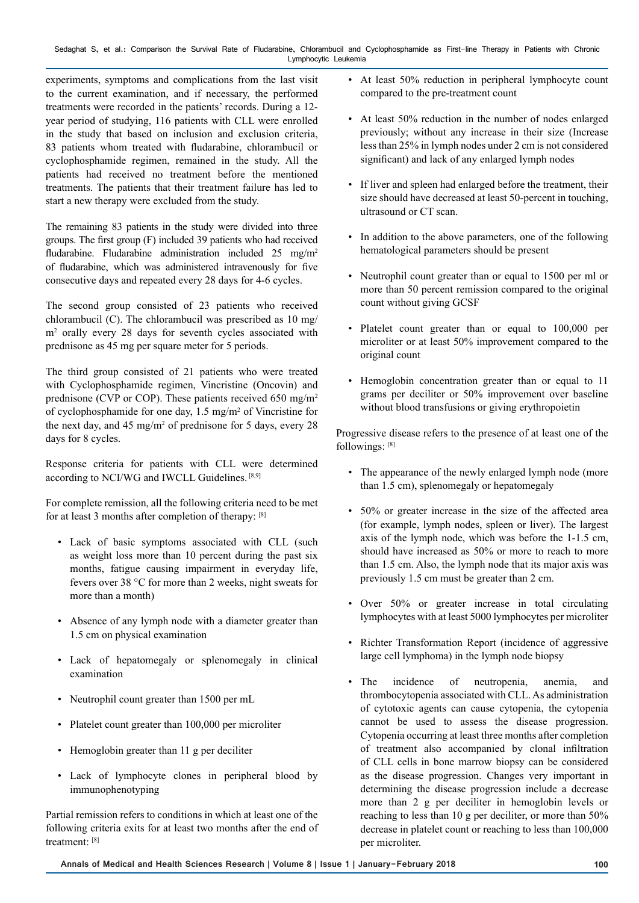Sedaghat S, et al.: Comparison the Survival Rate of Fludarabine, Chlorambucil and Cyclophosphamide as First-line Therapy in Patients with Chronic Lymphocytic Leukemia

experiments, symptoms and complications from the last visit to the current examination, and if necessary, the performed treatments were recorded in the patients' records. During a 12 year period of studying, 116 patients with CLL were enrolled in the study that based on inclusion and exclusion criteria, 83 patients whom treated with fludarabine, chlorambucil or cyclophosphamide regimen, remained in the study. All the patients had received no treatment before the mentioned treatments. The patients that their treatment failure has led to start a new therapy were excluded from the study.

The remaining 83 patients in the study were divided into three groups. The first group (F) included 39 patients who had received fludarabine. Fludarabine administration included  $25 \text{ mg/m}^2$ of fludarabine, which was administered intravenously for five consecutive days and repeated every 28 days for 4-6 cycles.

The second group consisted of 23 patients who received chlorambucil (C). The chlorambucil was prescribed as 10 mg/ m2 orally every 28 days for seventh cycles associated with prednisone as 45 mg per square meter for 5 periods.

The third group consisted of 21 patients who were treated with Cyclophosphamide regimen, Vincristine (Oncovin) and prednisone (CVP or COP). These patients received 650 mg/m<sup>2</sup> of cyclophosphamide for one day, 1.5 mg/m<sup>2</sup> of Vincristine for the next day, and 45 mg/m<sup>2</sup> of prednisone for 5 days, every 28 days for 8 cycles.

Response criteria for patients with CLL were determined according to NCI/WG and IWCLL Guidelines. [8,9]

For complete remission, all the following criteria need to be met for at least 3 months after completion of therapy: [8]

- Lack of basic symptoms associated with CLL (such as weight loss more than 10 percent during the past six months, fatigue causing impairment in everyday life, fevers over 38 °C for more than 2 weeks, night sweats for more than a month)
- Absence of any lymph node with a diameter greater than 1.5 cm on physical examination
- Lack of hepatomegaly or splenomegaly in clinical examination
- Neutrophil count greater than 1500 per mL
- Platelet count greater than 100,000 per microliter
- Hemoglobin greater than 11 g per deciliter
- Lack of lymphocyte clones in peripheral blood by immunophenotyping

Partial remission refers to conditions in which at least one of the following criteria exits for at least two months after the end of treatment: [8]

- At least 50% reduction in peripheral lymphocyte count compared to the pre-treatment count
- At least 50% reduction in the number of nodes enlarged previously; without any increase in their size (Increase less than 25% in lymph nodes under 2 cm is not considered significant) and lack of any enlarged lymph nodes
- If liver and spleen had enlarged before the treatment, their size should have decreased at least 50-percent in touching, ultrasound or CT scan.
- In addition to the above parameters, one of the following hematological parameters should be present
- Neutrophil count greater than or equal to 1500 per ml or more than 50 percent remission compared to the original count without giving GCSF
- Platelet count greater than or equal to 100,000 per microliter or at least 50% improvement compared to the original count
- Hemoglobin concentration greater than or equal to 11 grams per deciliter or 50% improvement over baseline without blood transfusions or giving erythropoietin

Progressive disease refers to the presence of at least one of the followings: [8]

- The appearance of the newly enlarged lymph node (more than 1.5 cm), splenomegaly or hepatomegaly
- 50% or greater increase in the size of the affected area (for example, lymph nodes, spleen or liver). The largest axis of the lymph node, which was before the 1-1.5 cm, should have increased as 50% or more to reach to more than 1.5 cm. Also, the lymph node that its major axis was previously 1.5 cm must be greater than 2 cm.
- Over 50% or greater increase in total circulating lymphocytes with at least 5000 lymphocytes per microliter
- Richter Transformation Report (incidence of aggressive large cell lymphoma) in the lymph node biopsy
- The incidence of neutropenia, anemia, and thrombocytopenia associated with CLL. As administration of cytotoxic agents can cause cytopenia, the cytopenia cannot be used to assess the disease progression. Cytopenia occurring at least three months after completion of treatment also accompanied by clonal infiltration of CLL cells in bone marrow biopsy can be considered as the disease progression. Changes very important in determining the disease progression include a decrease more than 2 g per deciliter in hemoglobin levels or reaching to less than 10 g per deciliter, or more than 50% decrease in platelet count or reaching to less than 100,000 per microliter.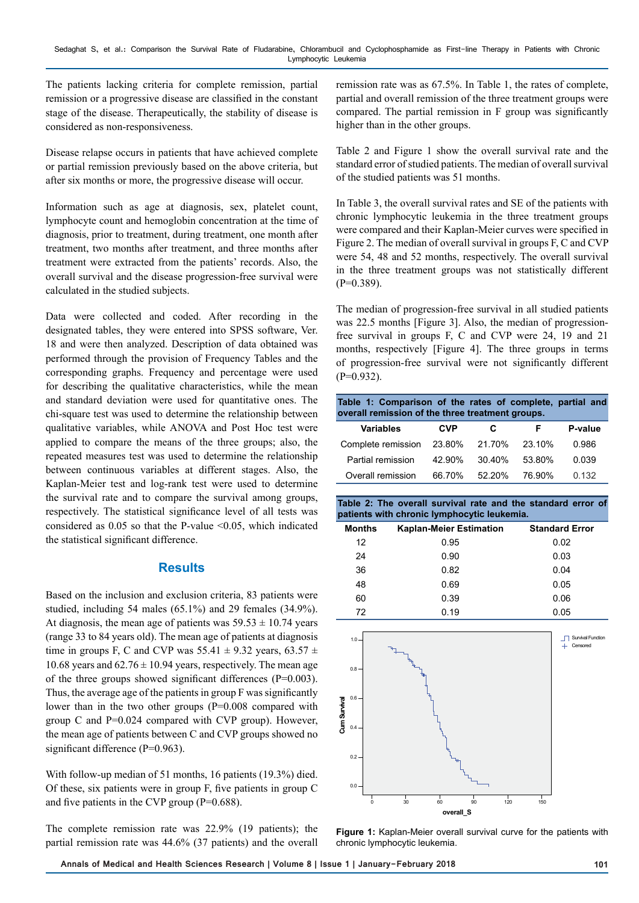The patients lacking criteria for complete remission, partial remission or a progressive disease are classified in the constant stage of the disease. Therapeutically, the stability of disease is considered as non-responsiveness.

Disease relapse occurs in patients that have achieved complete or partial remission previously based on the above criteria, but after six months or more, the progressive disease will occur.

Information such as age at diagnosis, sex, platelet count, lymphocyte count and hemoglobin concentration at the time of diagnosis, prior to treatment, during treatment, one month after treatment, two months after treatment, and three months after treatment were extracted from the patients' records. Also, the overall survival and the disease progression-free survival were calculated in the studied subjects.

Data were collected and coded. After recording in the designated tables, they were entered into SPSS software, Ver. 18 and were then analyzed. Description of data obtained was performed through the provision of Frequency Tables and the corresponding graphs. Frequency and percentage were used for describing the qualitative characteristics, while the mean and standard deviation were used for quantitative ones. The chi-square test was used to determine the relationship between qualitative variables, while ANOVA and Post Hoc test were applied to compare the means of the three groups; also, the repeated measures test was used to determine the relationship between continuous variables at different stages. Also, the Kaplan-Meier test and log-rank test were used to determine the survival rate and to compare the survival among groups, respectively. The statistical significance level of all tests was considered as  $0.05$  so that the P-value  $\leq 0.05$ , which indicated the statistical significant difference.

## **Results**

Based on the inclusion and exclusion criteria, 83 patients were studied, including 54 males (65.1%) and 29 females (34.9%). At diagnosis, the mean age of patients was  $59.53 \pm 10.74$  years (range 33 to 84 years old). The mean age of patients at diagnosis time in groups F, C and CVP was  $55.41 \pm 9.32$  years,  $63.57 \pm 1.5$ 10.68 years and  $62.76 \pm 10.94$  years, respectively. The mean age of the three groups showed significant differences (P=0.003). Thus, the average age of the patients in group F was significantly lower than in the two other groups (P=0.008 compared with group C and P=0.024 compared with CVP group). However, the mean age of patients between C and CVP groups showed no significant difference (P=0.963).

With follow-up median of 51 months, 16 patients (19.3%) died. Of these, six patients were in group F, five patients in group C and five patients in the CVP group (P=0.688).

The complete remission rate was 22.9% (19 patients); the partial remission rate was 44.6% (37 patients) and the overall

remission rate was as 67.5%. In Table 1, the rates of complete, partial and overall remission of the three treatment groups were compared. The partial remission in F group was significantly higher than in the other groups.

Table 2 and Figure 1 show the overall survival rate and the standard error of studied patients. The median of overall survival of the studied patients was 51 months.

In Table 3, the overall survival rates and SE of the patients with chronic lymphocytic leukemia in the three treatment groups were compared and their Kaplan-Meier curves were specified in Figure 2. The median of overall survival in groups F, C and CVP were 54, 48 and 52 months, respectively. The overall survival in the three treatment groups was not statistically different  $(P=0.389)$ .

The median of progression-free survival in all studied patients was 22.5 months [Figure 3]. Also, the median of progressionfree survival in groups F, C and CVP were 24, 19 and 21 months, respectively [Figure 4]. The three groups in terms of progression-free survival were not significantly different  $(P=0.932)$ .

| Table 1: Comparison of the rates of complete, partial and<br>overall remission of the three treatment groups. |            |           |        |         |  |  |  |
|---------------------------------------------------------------------------------------------------------------|------------|-----------|--------|---------|--|--|--|
| <b>Variables</b>                                                                                              | <b>CVP</b> | С         | F      | P-value |  |  |  |
| Complete remission 23.80%                                                                                     |            | 21.70%    | 23.10% | 0.986   |  |  |  |
| Partial remission                                                                                             | 42.90%     | $30.40\%$ | 53.80% | 0.039   |  |  |  |
| Overall remission                                                                                             | 66.70%     | 52.20%    | 76.90% | 0.132   |  |  |  |

**Table 2: The overall survival rate and the standard error of patients with chronic lymphocytic leukemia.**

| <b>Months</b> | <b>Kaplan-Meier Estimation</b> | <b>Standard Error</b> |
|---------------|--------------------------------|-----------------------|
| 12            | 0.95                           | 0.02                  |
| 24            | 0.90                           | 0.03                  |
| 36            | 0.82                           | 0.04                  |
| 48            | 0.69                           | 0.05                  |
| 60            | 0.39                           | 0.06                  |
| 72            | 0.19                           | 0.05                  |



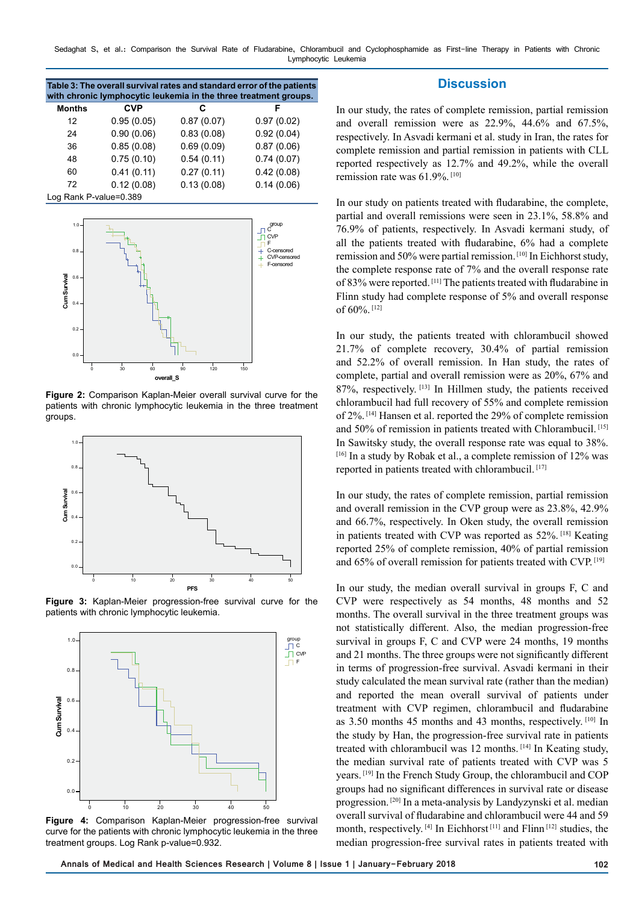Sedaghat S, et al.: Comparison the Survival Rate of Fludarabine, Chlorambucil and Cyclophosphamide as First-line Therapy in Patients with Chronic Lymphocytic Leukemia

| Table 3: The overall survival rates and standard error of the patients<br>with chronic lymphocytic leukemia in the three treatment groups. |            |            |            |  |  |  |  |
|--------------------------------------------------------------------------------------------------------------------------------------------|------------|------------|------------|--|--|--|--|
| <b>Months</b>                                                                                                                              | <b>CVP</b> | С          |            |  |  |  |  |
| 12                                                                                                                                         | 0.95(0.05) | 0.87(0.07) | 0.97(0.02) |  |  |  |  |
| 24                                                                                                                                         | 0.90(0.06) | 0.83(0.08) | 0.92(0.04) |  |  |  |  |
| 36                                                                                                                                         | 0.85(0.08) | 0.69(0.09) | 0.87(0.06) |  |  |  |  |
| 48                                                                                                                                         | 0.75(0.10) | 0.54(0.11) | 0.74(0.07) |  |  |  |  |
| 60                                                                                                                                         | 0.41(0.11) | 0.27(0.11) | 0.42(0.08) |  |  |  |  |
| 72                                                                                                                                         | 0.12(0.08) | 0.13(0.08) | 0.14(0.06) |  |  |  |  |

Log Rank P-value=0.389



**Figure 2:** Comparison Kaplan-Meier overall survival curve for the patients with chronic lymphocytic leukemia in the three treatment groups.



**Figure 3:** Kaplan-Meier progression-free survival curve for the patients with chronic lymphocytic leukemia.



Figure 4: Comparison Kaplan-Meier progression-free survival curve for the patients with chronic lymphocytic leukemia in the three treatment groups. Log Rank p-value=0.932.

#### **Discussion**

In our study, the rates of complete remission, partial remission and overall remission were as 22.9%, 44.6% and 67.5%, respectively. In Asvadi kermani et al. study in Iran, the rates for complete remission and partial remission in patients with CLL reported respectively as 12.7% and 49.2%, while the overall remission rate was 61.9%.<sup>[10]</sup>

In our study on patients treated with fludarabine, the complete, partial and overall remissions were seen in 23.1%, 58.8% and 76.9% of patients, respectively. In Asvadi kermani study, of all the patients treated with fludarabine, 6% had a complete remission and 50% were partial remission. [10] In Eichhorst study, the complete response rate of 7% and the overall response rate of 83% were reported. [11] The patients treated with fludarabine in Flinn study had complete response of 5% and overall response of 60%. [12]

In our study, the patients treated with chlorambucil showed 21.7% of complete recovery, 30.4% of partial remission and 52.2% of overall remission. In Han study, the rates of complete, partial and overall remission were as 20%, 67% and 87%, respectively. [13] In Hillmen study, the patients received chlorambucil had full recovery of 55% and complete remission of 2%. [14] Hansen et al. reported the 29% of complete remission and 50% of remission in patients treated with Chlorambucil. [15] In Sawitsky study, the overall response rate was equal to 38%. [16] In a study by Robak et al., a complete remission of 12% was reported in patients treated with chlorambucil. [17]

In our study, the rates of complete remission, partial remission and overall remission in the CVP group were as 23.8%, 42.9% and 66.7%, respectively. In Oken study, the overall remission in patients treated with CVP was reported as 52%. [18] Keating reported 25% of complete remission, 40% of partial remission and 65% of overall remission for patients treated with CVP. [19]

In our study, the median overall survival in groups F, C and CVP were respectively as 54 months, 48 months and 52 months. The overall survival in the three treatment groups was not statistically different. Also, the median progression-free survival in groups F, C and CVP were 24 months, 19 months and 21 months. The three groups were not significantly different in terms of progression-free survival. Asvadi kermani in their study calculated the mean survival rate (rather than the median) and reported the mean overall survival of patients under treatment with CVP regimen, chlorambucil and fludarabine as 3.50 months 45 months and 43 months, respectively. [10] In the study by Han, the progression-free survival rate in patients treated with chlorambucil was 12 months. [14] In Keating study, the median survival rate of patients treated with CVP was 5 years. [19] In the French Study Group, the chlorambucil and COP groups had no significant differences in survival rate or disease progression. [20] In a meta-analysis by Landyzynski et al. median overall survival of fludarabine and chlorambucil were 44 and 59 month, respectively. [4] In Eichhorst<sup>[11]</sup> and Flinn<sup>[12]</sup> studies, the median progression-free survival rates in patients treated with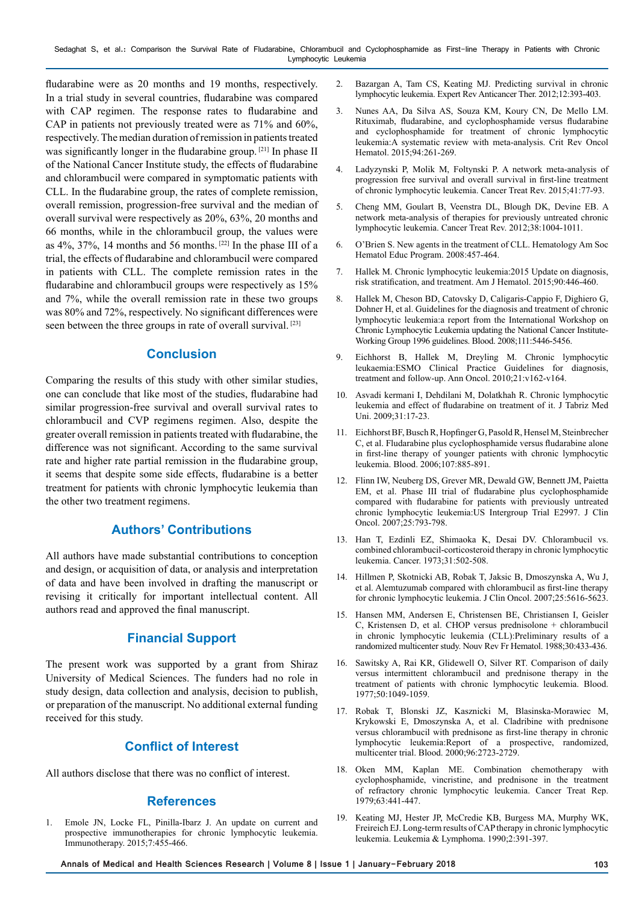fludarabine were as 20 months and 19 months, respectively. In a trial study in several countries, fludarabine was compared with CAP regimen. The response rates to fludarabine and CAP in patients not previously treated were as 71% and 60%, respectively. The median duration of remission in patients treated was significantly longer in the fludarabine group. [21] In phase II of the National Cancer Institute study, the effects of fludarabine and chlorambucil were compared in symptomatic patients with CLL. In the fludarabine group, the rates of complete remission, overall remission, progression-free survival and the median of overall survival were respectively as 20%, 63%, 20 months and 66 months, while in the chlorambucil group, the values were as  $4\%$ ,  $37\%$ , 14 months and 56 months. <sup>[22]</sup> In the phase III of a trial, the effects of fludarabine and chlorambucil were compared in patients with CLL. The complete remission rates in the fludarabine and chlorambucil groups were respectively as 15% and 7%, while the overall remission rate in these two groups was 80% and 72%, respectively. No significant differences were seen between the three groups in rate of overall survival. [23]

## **Conclusion**

Comparing the results of this study with other similar studies, one can conclude that like most of the studies, fludarabine had similar progression-free survival and overall survival rates to chlorambucil and CVP regimens regimen. Also, despite the greater overall remission in patients treated with fludarabine, the difference was not significant. According to the same survival rate and higher rate partial remission in the fludarabine group, it seems that despite some side effects, fludarabine is a better treatment for patients with chronic lymphocytic leukemia than the other two treatment regimens.

## **Authors' Contributions**

All authors have made substantial contributions to conception and design, or acquisition of data, or analysis and interpretation of data and have been involved in drafting the manuscript or revising it critically for important intellectual content. All authors read and approved the final manuscript.

# **Financial Support**

The present work was supported by a grant from Shiraz University of Medical Sciences. The funders had no role in study design, data collection and analysis, decision to publish, or preparation of the manuscript. No additional external funding received for this study.

# **Conflict of Interest**

All authors disclose that there was no conflict of interest.

## **References**

1. Emole JN, Locke FL, Pinilla-Ibarz J. An update on current and prospective immunotherapies for chronic lymphocytic leukemia. Immunotherapy. 2015;7:455-466.

- 2. Bazargan A, Tam CS, Keating MJ. Predicting survival in chronic lymphocytic leukemia. Expert Rev Anticancer Ther. 2012;12:393-403.
- 3. Nunes AA, Da Silva AS, Souza KM, Koury CN, De Mello LM. Rituximab, fludarabine, and cyclophosphamide versus fludarabine and cyclophosphamide for treatment of chronic lymphocytic leukemia:A systematic review with meta-analysis. Crit Rev Oncol Hematol. 2015;94:261-269.
- 4. Ladyzynski P, Molik M, Foltynski P. A network meta-analysis of progression free survival and overall survival in first-line treatment of chronic lymphocytic leukemia. Cancer Treat Rev. 2015;41:77-93.
- 5. Cheng MM, Goulart B, Veenstra DL, Blough DK, Devine EB. A network meta-analysis of therapies for previously untreated chronic lymphocytic leukemia. Cancer Treat Rev. 2012;38:1004-1011.
- 6. O'Brien S. New agents in the treatment of CLL. Hematology Am Soc Hematol Educ Program. 2008:457-464.
- 7. Hallek M. Chronic lymphocytic leukemia:2015 Update on diagnosis, risk stratification, and treatment. Am J Hematol. 2015;90:446-460.
- 8. Hallek M, Cheson BD, Catovsky D, Caligaris-Cappio F, Dighiero G, Dohner H, et al. Guidelines for the diagnosis and treatment of chronic lymphocytic leukemia:a report from the International Workshop on Chronic Lymphocytic Leukemia updating the National Cancer Institute-Working Group 1996 guidelines. Blood. 2008;111:5446-5456.
- 9. Eichhorst B, Hallek M, Dreyling M. Chronic lymphocytic leukaemia:ESMO Clinical Practice Guidelines for diagnosis, treatment and follow-up. Ann Oncol. 2010;21:v162-v164.
- 10. Asvadi kermani I, Dehdilani M, Dolatkhah R. Chronic lymphocytic leukemia and effect of fludarabine on treatment of it. J Tabriz Med Uni. 2009;31:17-23.
- 11. Eichhorst BF, Busch R, Hopfinger G, Pasold R, Hensel M, Steinbrecher C, et al. Fludarabine plus cyclophosphamide versus fludarabine alone in first-line therapy of younger patients with chronic lymphocytic leukemia. Blood. 2006;107:885-891.
- 12. Flinn IW, Neuberg DS, Grever MR, Dewald GW, Bennett JM, Paietta EM, et al. Phase III trial of fludarabine plus cyclophosphamide compared with fludarabine for patients with previously untreated chronic lymphocytic leukemia:US Intergroup Trial E2997. J Clin Oncol. 2007;25:793-798.
- 13. Han T, Ezdinli EZ, Shimaoka K, Desai DV. Chlorambucil vs. combined chlorambucil-corticosteroid therapy in chronic lymphocytic leukemia. Cancer. 1973;31:502-508.
- 14. Hillmen P, Skotnicki AB, Robak T, Jaksic B, Dmoszynska A, Wu J, et al. Alemtuzumab compared with chlorambucil as first-line therapy for chronic lymphocytic leukemia. J Clin Oncol. 2007;25:5616-5623.
- 15. Hansen MM, Andersen E, Christensen BE, Christiansen I, Geisler C, Kristensen D, et al. CHOP versus prednisolone + chlorambucil in chronic lymphocytic leukemia (CLL):Preliminary results of a randomized multicenter study. Nouv Rev Fr Hematol. 1988;30:433-436.
- 16. Sawitsky A, Rai KR, Glidewell O, Silver RT. Comparison of daily versus intermittent chlorambucil and prednisone therapy in the treatment of patients with chronic lymphocytic leukemia. Blood. 1977;50:1049-1059.
- 17. Robak T, Blonski JZ, Kasznicki M, Blasinska-Morawiec M, Krykowski E, Dmoszynska A, et al. Cladribine with prednisone versus chlorambucil with prednisone as first-line therapy in chronic lymphocytic leukemia:Report of a prospective, randomized, multicenter trial. Blood. 2000;96:2723-2729.
- 18. Oken MM, Kaplan ME. Combination chemotherapy with cyclophosphamide, vincristine, and prednisone in the treatment of refractory chronic lymphocytic leukemia. Cancer Treat Rep. 1979;63:441-447.
- 19. Keating MJ, Hester JP, McCredie KB, Burgess MA, Murphy WK, Freireich EJ. Long-term results of CAP therapy in chronic lymphocytic leukemia. Leukemia & Lymphoma. 1990;2:391-397.